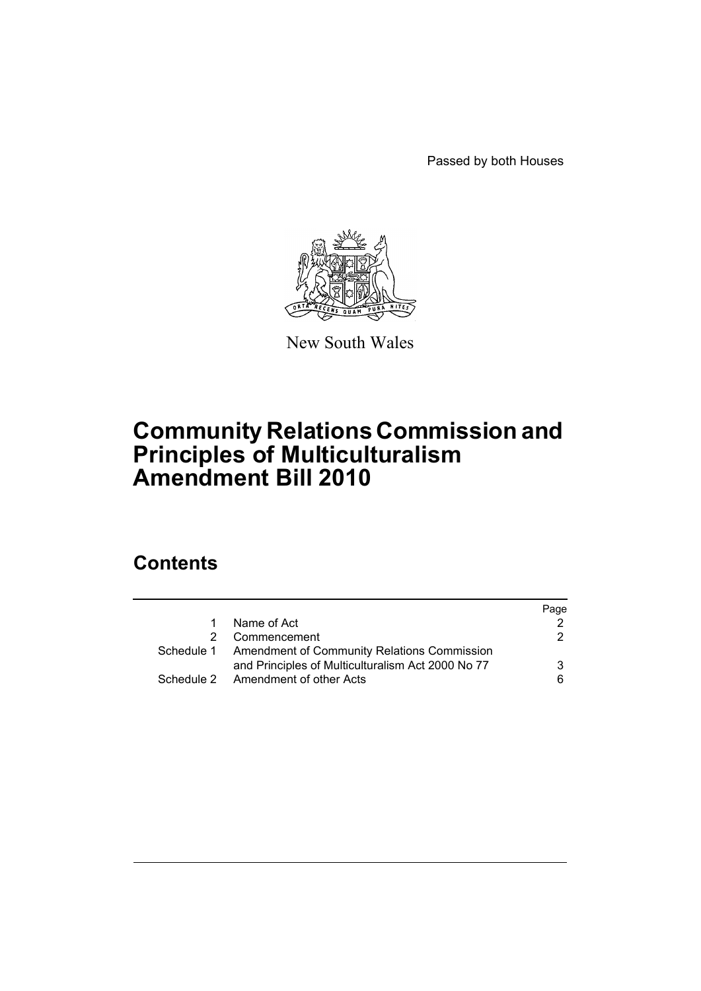Passed by both Houses



New South Wales

# **Community Relations Commission and Principles of Multiculturalism Amendment Bill 2010**

# **Contents**

|               |                                                        | Page |
|---------------|--------------------------------------------------------|------|
| 1             | Name of Act                                            |      |
| $\mathcal{P}$ | Commencement                                           | 2    |
|               | Schedule 1 Amendment of Community Relations Commission |      |
|               | and Principles of Multiculturalism Act 2000 No 77      | 3    |
|               | Schedule 2 Amendment of other Acts                     | 6.   |
|               |                                                        |      |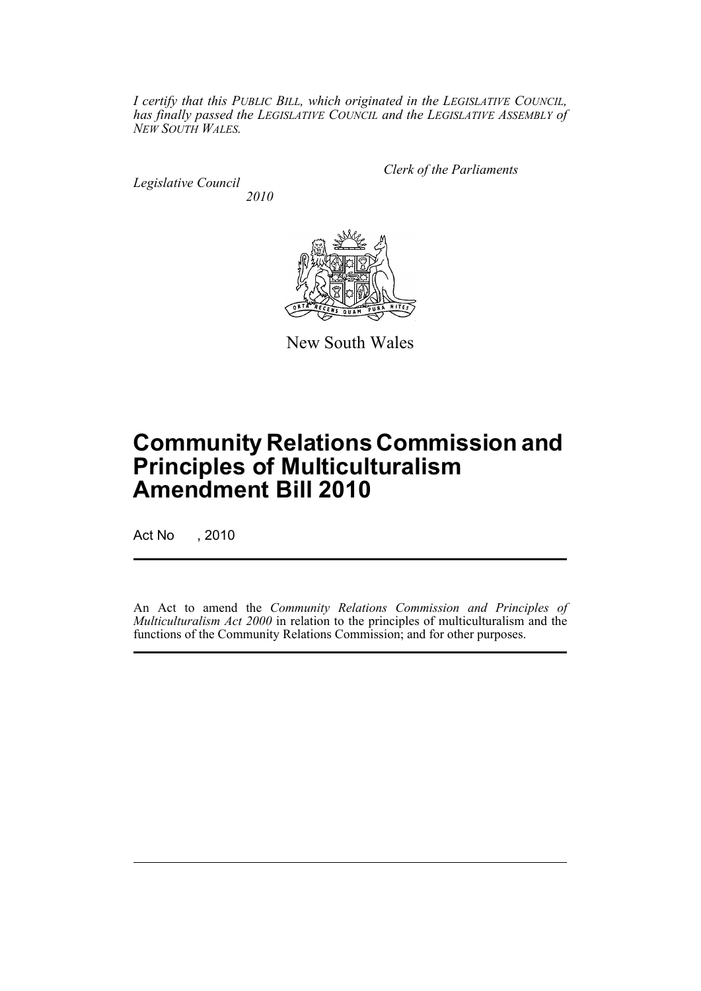*I certify that this PUBLIC BILL, which originated in the LEGISLATIVE COUNCIL, has finally passed the LEGISLATIVE COUNCIL and the LEGISLATIVE ASSEMBLY of NEW SOUTH WALES.*

*Legislative Council 2010* *Clerk of the Parliaments*



New South Wales

# **Community Relations Commission and Principles of Multiculturalism Amendment Bill 2010**

Act No , 2010

An Act to amend the *Community Relations Commission and Principles of Multiculturalism Act 2000* in relation to the principles of multiculturalism and the functions of the Community Relations Commission; and for other purposes.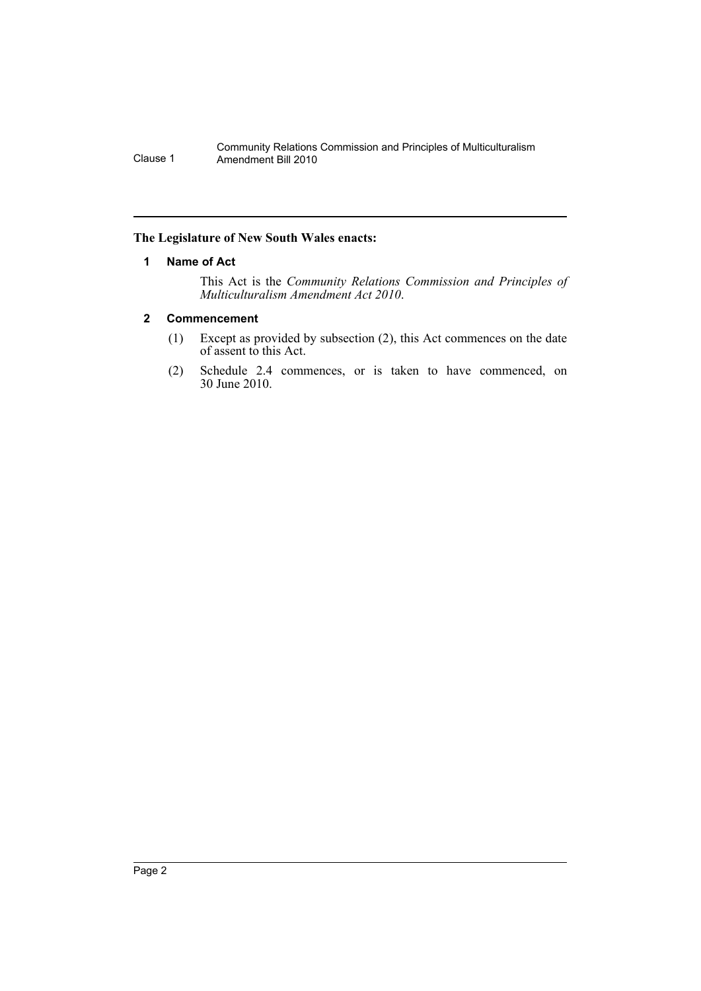#### <span id="page-2-0"></span>**The Legislature of New South Wales enacts:**

#### **1 Name of Act**

This Act is the *Community Relations Commission and Principles of Multiculturalism Amendment Act 2010*.

#### <span id="page-2-1"></span>**2 Commencement**

- (1) Except as provided by subsection (2), this Act commences on the date of assent to this Act.
- (2) Schedule 2.4 commences, or is taken to have commenced, on 30 June 2010.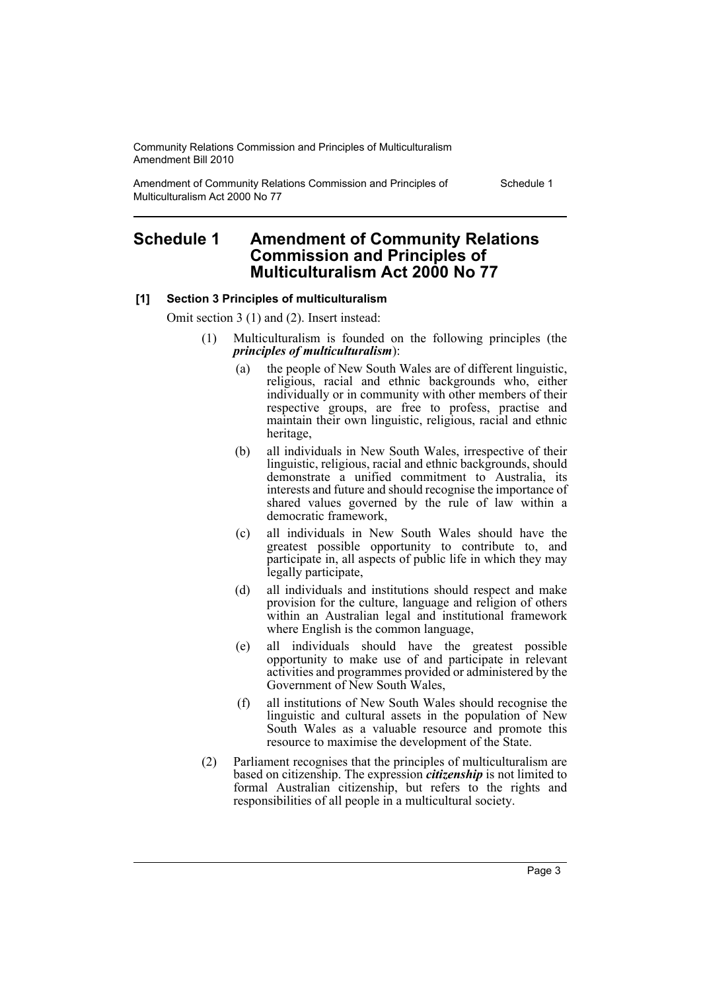Amendment of Community Relations Commission and Principles of Multiculturalism Act 2000 No 77

Schedule 1

# <span id="page-3-0"></span>**Schedule 1 Amendment of Community Relations Commission and Principles of Multiculturalism Act 2000 No 77**

#### **[1] Section 3 Principles of multiculturalism**

Omit section 3 (1) and (2). Insert instead:

- (1) Multiculturalism is founded on the following principles (the *principles of multiculturalism*):
	- (a) the people of New South Wales are of different linguistic, religious, racial and ethnic backgrounds who, either individually or in community with other members of their respective groups, are free to profess, practise and maintain their own linguistic, religious, racial and ethnic heritage,
	- (b) all individuals in New South Wales, irrespective of their linguistic, religious, racial and ethnic backgrounds, should demonstrate a unified commitment to Australia, its interests and future and should recognise the importance of shared values governed by the rule of law within a democratic framework,
	- (c) all individuals in New South Wales should have the greatest possible opportunity to contribute to, and participate in, all aspects of public life in which they may legally participate,
	- (d) all individuals and institutions should respect and make provision for the culture, language and religion of others within an Australian legal and institutional framework where English is the common language,
	- (e) all individuals should have the greatest possible opportunity to make use of and participate in relevant activities and programmes provided or administered by the Government of New South Wales,
	- (f) all institutions of New South Wales should recognise the linguistic and cultural assets in the population of New South Wales as a valuable resource and promote this resource to maximise the development of the State.
- (2) Parliament recognises that the principles of multiculturalism are based on citizenship. The expression *citizenship* is not limited to formal Australian citizenship, but refers to the rights and responsibilities of all people in a multicultural society.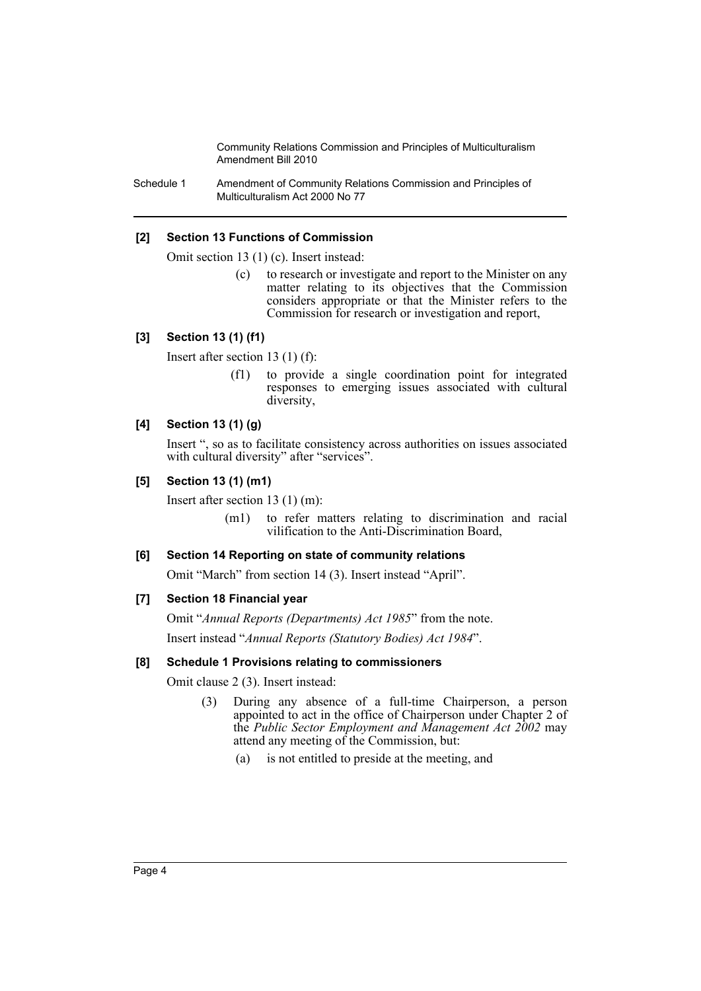Schedule 1 Amendment of Community Relations Commission and Principles of Multiculturalism Act 2000 No 77

### **[2] Section 13 Functions of Commission**

Omit section 13 (1) (c). Insert instead:

(c) to research or investigate and report to the Minister on any matter relating to its objectives that the Commission considers appropriate or that the Minister refers to the Commission for research or investigation and report,

#### **[3] Section 13 (1) (f1)**

Insert after section 13 (1) (f):

(f1) to provide a single coordination point for integrated responses to emerging issues associated with cultural diversity,

#### **[4] Section 13 (1) (g)**

Insert ", so as to facilitate consistency across authorities on issues associated with cultural diversity" after "services".

#### **[5] Section 13 (1) (m1)**

Insert after section 13 (1) (m):

(m1) to refer matters relating to discrimination and racial vilification to the Anti-Discrimination Board,

#### **[6] Section 14 Reporting on state of community relations**

Omit "March" from section 14 (3). Insert instead "April".

#### **[7] Section 18 Financial year**

Omit "*Annual Reports (Departments) Act 1985*" from the note.

Insert instead "*Annual Reports (Statutory Bodies) Act 1984*".

## **[8] Schedule 1 Provisions relating to commissioners**

Omit clause 2 (3). Insert instead:

- (3) During any absence of a full-time Chairperson, a person appointed to act in the office of Chairperson under Chapter 2 of the *Public Sector Employment and Management Act 2002* may attend any meeting of the Commission, but:
	- (a) is not entitled to preside at the meeting, and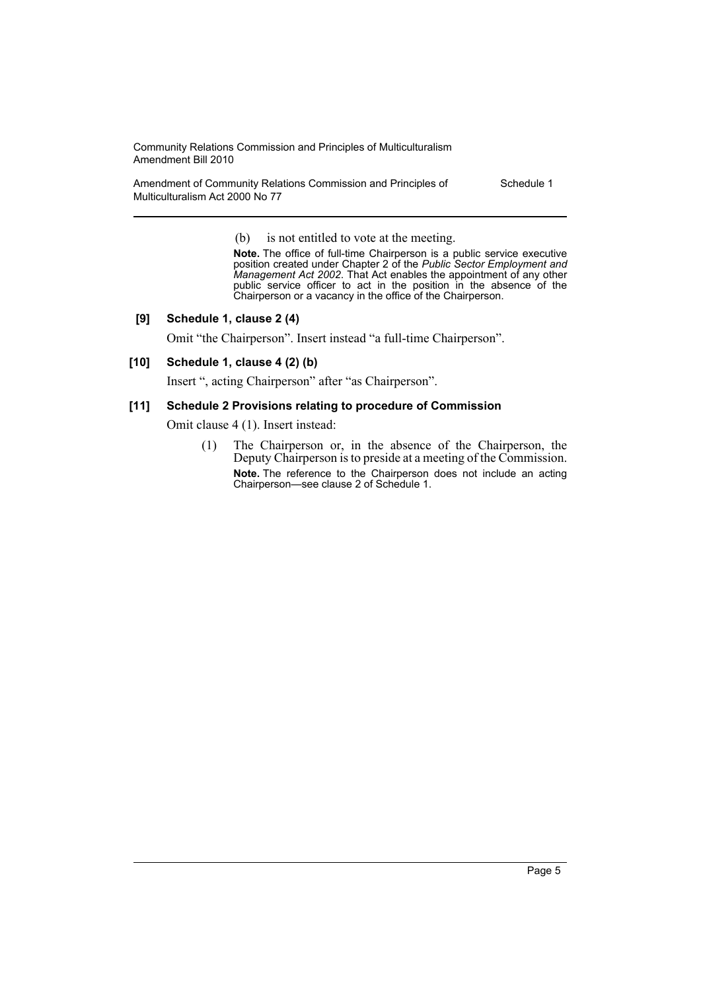Amendment of Community Relations Commission and Principles of Multiculturalism Act 2000 No 77

Schedule 1

(b) is not entitled to vote at the meeting.

**Note.** The office of full-time Chairperson is a public service executive position created under Chapter 2 of the *Public Sector Employment and Management Act 2002*. That Act enables the appointment of any other public service officer to act in the position in the absence of the Chairperson or a vacancy in the office of the Chairperson.

#### **[9] Schedule 1, clause 2 (4)**

Omit "the Chairperson". Insert instead "a full-time Chairperson".

#### **[10] Schedule 1, clause 4 (2) (b)**

Insert ", acting Chairperson" after "as Chairperson".

#### **[11] Schedule 2 Provisions relating to procedure of Commission**

Omit clause 4 (1). Insert instead:

(1) The Chairperson or, in the absence of the Chairperson, the Deputy Chairperson is to preside at a meeting of the Commission. **Note.** The reference to the Chairperson does not include an acting Chairperson—see clause 2 of Schedule 1.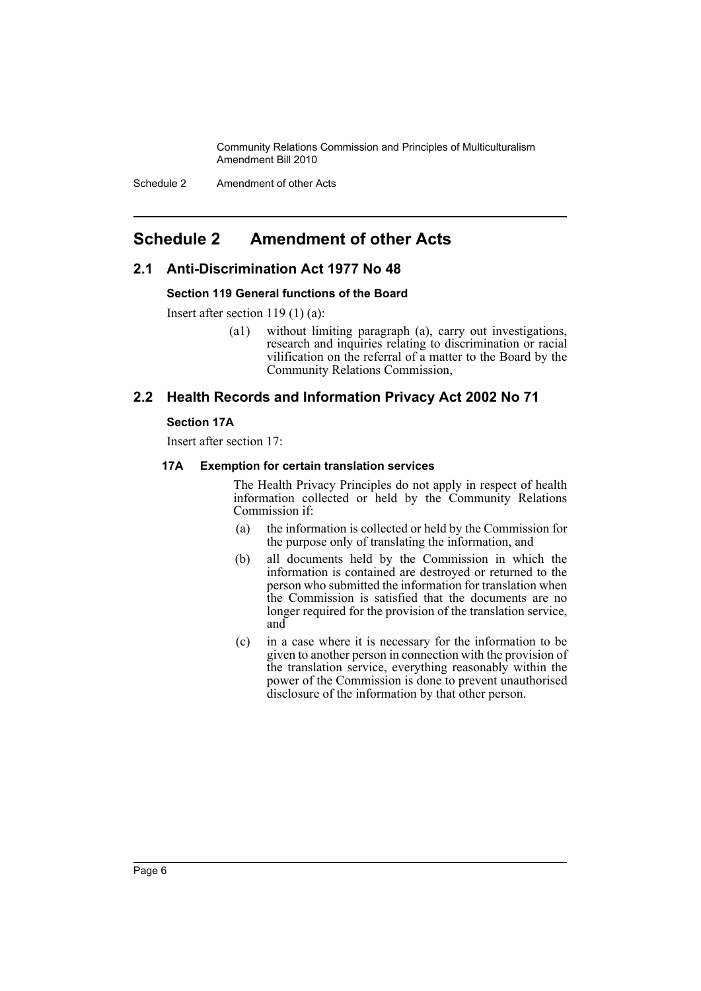Schedule 2 Amendment of other Acts

# <span id="page-6-0"></span>**Schedule 2 Amendment of other Acts**

# **2.1 Anti-Discrimination Act 1977 No 48**

#### **Section 119 General functions of the Board**

Insert after section 119 (1) (a):

(a1) without limiting paragraph (a), carry out investigations, research and inquiries relating to discrimination or racial vilification on the referral of a matter to the Board by the Community Relations Commission,

# **2.2 Health Records and Information Privacy Act 2002 No 71**

#### **Section 17A**

Insert after section 17:

#### **17A Exemption for certain translation services**

The Health Privacy Principles do not apply in respect of health information collected or held by the Community Relations Commission if:

- (a) the information is collected or held by the Commission for the purpose only of translating the information, and
- (b) all documents held by the Commission in which the information is contained are destroyed or returned to the person who submitted the information for translation when the Commission is satisfied that the documents are no longer required for the provision of the translation service, and
- (c) in a case where it is necessary for the information to be given to another person in connection with the provision of the translation service, everything reasonably within the power of the Commission is done to prevent unauthorised disclosure of the information by that other person.